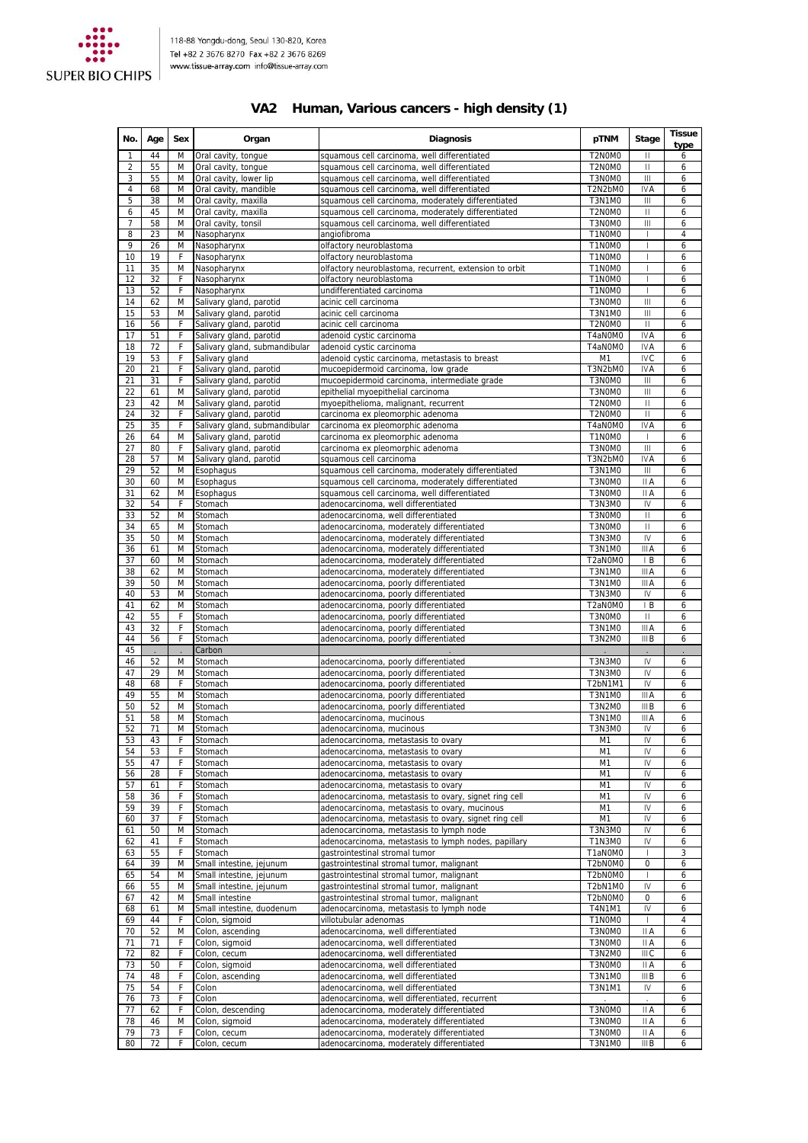

## **VA2 Human, Various cancers - high density (1)**

| No.      | Age      | Sex    | Organ                                                    | <b>Diagnosis</b>                                                                                   | pTNM                             | Stage                                      | <b>Tissue</b><br>type |
|----------|----------|--------|----------------------------------------------------------|----------------------------------------------------------------------------------------------------|----------------------------------|--------------------------------------------|-----------------------|
| 1        | 44       | M      | Oral cavity, tongue                                      | squamous cell carcinoma, well differentiated                                                       | T2N0M0                           | $\mathbf{H}$                               | 6                     |
| 2<br>3   | 55<br>55 | M<br>M | Oral cavity, tongue<br>Oral cavity, lower lip            | squamous cell carcinoma, well differentiated<br>squamous cell carcinoma, well differentiated       | T2N0M0<br>T3N0M0                 | Ш<br>$\mathbf{III}$                        | 6<br>6                |
| 4        | 68       | M      | Oral cavity, mandible                                    | squamous cell carcinoma, well differentiated                                                       | T2N2bM0                          | <b>IVA</b>                                 | 6                     |
| 5        | 38       | M      | Oral cavity, maxilla                                     | squamous cell carcinoma, moderately differentiated                                                 | T3N1M0                           | $\mathbf{III}$                             | 6                     |
| 6        | 45       | M      | Oral cavity, maxilla                                     | squamous cell carcinoma, moderately differentiated                                                 | T2N0M0                           | $\mathbf{H}$                               | 6                     |
| 7<br>8   | 58<br>23 | M<br>M | Oral cavity, tonsil<br>Nasopharynx                       | squamous cell carcinoma, well differentiated<br>angiofibroma                                       | T3N0M0<br>T1N0M0                 | Ш<br>$\overline{1}$                        | 6<br>$\overline{4}$   |
| 9        | 26       | M      | Nasopharynx                                              | olfactory neuroblastoma                                                                            | T1N0M0                           | $\overline{\phantom{a}}$                   | 6                     |
| 10       | 19       | F      | Nasopharynx                                              | olfactory neuroblastoma                                                                            | T1N0M0                           |                                            | 6                     |
| 11       | 35       | M      | Nasopharynx                                              | olfactory neuroblastoma, recurrent, extension to orbit                                             | T1N0M0                           |                                            | 6                     |
| 12       | 32       | F      | Nasopharynx                                              | olfactory neuroblastoma                                                                            | T1N0M0                           |                                            | 6                     |
| 13<br>14 | 52<br>62 | F<br>M | Nasopharynx                                              | undifferentiated carcinoma<br>acinic cell carcinoma                                                | T1N0M0<br>T3N0M0                 | $\overline{\phantom{a}}$<br>$\mathsf{III}$ | 6<br>6                |
| 15       | 53       | M      | Salivary gland, parotid<br>Salivary gland, parotid       | acinic cell carcinoma                                                                              | <b>T3N1M0</b>                    | $\mathsf{III}$                             | 6                     |
| 16       | 56       | F      | Salivary gland, parotid                                  | acinic cell carcinoma                                                                              | T2N0M0                           | $\mathbf{I}$                               | 6                     |
| 17       | 51       | F      | Salivary gland, parotid                                  | adenoid cystic carcinoma                                                                           | T4aN0M0                          | <b>IVA</b>                                 | 6                     |
| 18       | 72       | F      | Salivary gland, submandibular                            | adenoid cystic carcinoma                                                                           | T4aN0M0                          | <b>IVA</b>                                 | 6                     |
| 19<br>20 | 53<br>21 | F<br>F | Salivary gland<br>Salivary gland, parotid                | adenoid cystic carcinoma, metastasis to breast<br>mucoepidermoid carcinoma, low grade              | M <sub>1</sub><br>T3N2bM0        | <b>IVC</b><br><b>IVA</b>                   | 6<br>6                |
| 21       | 31       | F      | Salivary gland, parotid                                  | mucoepidermoid carcinoma, intermediate grade                                                       | T3N0M0                           | Ш                                          | 6                     |
| 22       | 61       | M      | Salivary gland, parotid                                  | epithelial myoepithelial carcinoma                                                                 | T3N0M0                           | $\mathsf{III}$                             | 6                     |
| 23       | 42       | M      | Salivary gland, parotid                                  | myoepithelioma, malignant, recurrent                                                               | T2N0M0                           | Ш                                          | 6                     |
| 24       | 32<br>35 | F<br>F | Salivary gland, parotid                                  | carcinoma ex pleomorphic adenoma                                                                   | T2N0M0<br>T4aN0M0                | $\mathop{\rm II}\nolimits$<br><b>IVA</b>   | 6                     |
| 25<br>26 | 64       | M      | Salivary gland, submandibular<br>Salivary gland, parotid | carcinoma ex pleomorphic adenoma<br>carcinoma ex pleomorphic adenoma                               | T1N0M0                           | $\overline{1}$                             | 6<br>6                |
| 27       | 80       | F      | Salivary gland, parotid                                  | carcinoma ex pleomorphic adenoma                                                                   | T3N0M0                           | $\mathbf{III}$                             | 6                     |
| 28       | 57       | M      | Salivary gland, parotid                                  | squamous cell carcinoma                                                                            | T3N2bM0                          | <b>IVA</b>                                 | 6                     |
| 29       | 52       | M      | Esophagus                                                | squamous cell carcinoma, moderately differentiated                                                 | <b>T3N1M0</b>                    | $\mathbf{III}$                             | 6                     |
| 30       | 60       | M      | Esophagus<br>Esophagus                                   | squamous cell carcinoma, moderately differentiated<br>squamous cell carcinoma, well differentiated | T3N0M0<br>T3N0M0                 | II A<br>II A                               | 6                     |
| 31<br>32 | 62<br>54 | M<br>F | Stomach                                                  | adenocarcinoma, well differentiated                                                                | T3N3M0                           | IV                                         | 6<br>6                |
| 33       | 52       | M      | Stomach                                                  | adenocarcinoma, well differentiated                                                                | T3N0M0                           | $\mathbf{I}$                               | 6                     |
| 34       | 65       | M      | Stomach                                                  | adenocarcinoma, moderately differentiated                                                          | T3N0M0                           | $\vert$                                    | 6                     |
| 35       | 50       | M      | Stomach                                                  | adenocarcinoma, moderately differentiated                                                          | T3N3M0                           | IV                                         | 6                     |
| 36       | 61       | M<br>M | Stomach                                                  | adenocarcinoma, moderately differentiated                                                          | T3N1M0                           | III A<br>IB                                | 6                     |
| 37<br>38 | 60<br>62 | M      | Stomach<br>Stomach                                       | adenocarcinoma, moderately differentiated<br>adenocarcinoma, moderately differentiated             | T2aN0M0<br>T3N1M0                | IIIA                                       | 6<br>6                |
| 39       | 50       | M      | Stomach                                                  | adenocarcinoma, poorly differentiated                                                              | <b>T3N1M0</b>                    | III A                                      | 6                     |
| 40       | 53       | M      | Stomach                                                  | adenocarcinoma, poorly differentiated                                                              | T3N3M0                           | IV                                         | 6                     |
| 41       | 62       | M      | Stomach                                                  | adenocarcinoma, poorly differentiated                                                              | T2aN0M0                          | ΙB                                         | 6                     |
| 42       | 55       | F      | Stomach                                                  | adenocarcinoma, poorly differentiated                                                              | T3N0M0                           | $\mathbf{H}$                               | 6                     |
| 43<br>44 | 32<br>56 | F<br>F | Stomach<br>Stomach                                       | adenocarcinoma, poorly differentiated<br>adenocarcinoma, poorly differentiated                     | <b>T3N1M0</b><br><b>T3N2M0</b>   | III A<br>III B                             | 6<br>6                |
| 45       |          |        | Carbon                                                   |                                                                                                    |                                  |                                            |                       |
| 46       | 52       | M      | Stomach                                                  | adenocarcinoma, poorly differentiated                                                              | T3N3M0                           | IV                                         | 6                     |
| 47       | 29       | M      | Stomach                                                  | adenocarcinoma, poorly differentiated                                                              | T3N3M0                           | IV                                         | 6                     |
| 48       | 68       | F      | Stomach                                                  | adenocarcinoma, poorly differentiated                                                              | T2bN1M1                          | IV                                         | 6                     |
| 49<br>50 | 55<br>52 | M<br>M | Stomach<br>Stomach                                       | adenocarcinoma, poorly differentiated<br>adenocarcinoma, poorly differentiated                     | <b>T3N1M0</b><br>T3N2M0          | III A<br>III B                             | 6<br>6                |
| 51       | 58       | M      | Stomach                                                  | adenocarcinoma, mucinous                                                                           | <b>T3N1M0</b>                    | III A                                      | 6                     |
| 52       | 71       | M      | Stomach                                                  | adenocarcinoma, mucinous                                                                           | T3N3M0                           | IV                                         | 6                     |
| 53       | 43       | F      | Stomach                                                  | adenocarcinoma, metastasis to ovary                                                                | M1                               | IV                                         | 6                     |
| 54       | 53       | F      | Stomach                                                  | adenocarcinoma, metastasis to ovary                                                                | M1                               | IV                                         | 6                     |
| 55<br>56 | 47<br>28 | F<br>F | Stomach<br>Stomach                                       | adenocarcinoma, metastasis to ovary<br>adenocarcinoma, metastasis to ovary                         | M <sub>1</sub><br>M <sub>1</sub> | IV<br>IV                                   | 6<br>6                |
| 57       | 61       | F      | Stomach                                                  | adenocarcinoma, metastasis to ovary                                                                | M <sub>1</sub>                   | IV                                         | 6                     |
| 58       | 36       | F      | Stomach                                                  | adenocarcinoma, metastasis to ovary, signet ring cell                                              | M <sub>1</sub>                   | IV                                         | 6                     |
| 59       | 39       | F      | Stomach                                                  | adenocarcinoma, metastasis to ovary, mucinous                                                      | M <sub>1</sub>                   | IV                                         | 6                     |
| 60       | 37       | F      | Stomach                                                  | adenocarcinoma, metastasis to ovary, signet ring cell                                              | M1<br><b>T3N3M0</b>              | IV                                         | 6                     |
| 61<br>62 | 50<br>41 | M<br>F | Stomach<br>Stomach                                       | adenocarcinoma, metastasis to lymph node<br>adenocarcinoma, metastasis to lymph nodes, papillary   | T1N3M0                           | IV<br>IV                                   | 6<br>6                |
| 63       | 55       | F      | Stomach                                                  | qastrointestinal stromal tumor                                                                     | T1aN0M0                          | $\overline{\phantom{a}}$                   | 3                     |
| 64       | 39       | M      | Small intestine, jejunum                                 | gastrointestinal stromal tumor, malignant                                                          | T2bN0M0                          | $\mathbf 0$                                | 6                     |
| 65       | 54       | M      | Small intestine, jejunum                                 | gastrointestinal stromal tumor, malignant                                                          | T2bN0M0                          |                                            | 6                     |
| 66<br>67 | 55<br>42 | M<br>M | Small intestine, jejunum<br>Small intestine              | gastrointestinal stromal tumor, malignant<br>gastrointestinal stromal tumor, malignant             | T2bN1M0<br>T2bN0M0               | IV<br>0                                    | 6<br>6                |
| 68       | 61       | M      | Small intestine, duodenum                                | adenocarcinoma, metastasis to lymph node                                                           | T4N1M1                           | IV                                         | 6                     |
| 69       | 44       | F      | Colon, sigmoid                                           | villotubular adenomas                                                                              | T1N0M0                           | $\mathbf{I}$                               | 4                     |
| 70       | 52       | M      | Colon, ascending                                         | adenocarcinoma, well differentiated                                                                | T3N0M0                           | II A                                       | 6                     |
| 71       | 71       | F      | Colon, sigmoid                                           | adenocarcinoma, well differentiated                                                                | T3N0M0                           | II A                                       | 6                     |
| 72<br>73 | 82<br>50 | F<br>F | Colon, cecum<br>Colon, sigmoid                           | adenocarcinoma, well differentiated<br>adenocarcinoma, well differentiated                         | <b>T3N2M0</b><br>T3N0M0          | III <sub>C</sub><br>II A                   | 6<br>6                |
| 74       | 48       | F      | Colon, ascending                                         | adenocarcinoma, well differentiated                                                                | T3N1MO                           | III B                                      | 6                     |
| 75       | 54       | F      | Colon                                                    | adenocarcinoma, well differentiated                                                                | <b>T3N1M1</b>                    | IV                                         | 6                     |
| 76       | 73       | F      | Colon                                                    | adenocarcinoma, well differentiated, recurrent                                                     |                                  |                                            | 6                     |
| 77       | 62       | F      | Colon, descending                                        | adenocarcinoma, moderately differentiated                                                          | T3N0M0                           | II A                                       | 6                     |
| 78<br>79 | 46<br>73 | M<br>F | Colon, sigmoid<br>Colon, cecum                           | adenocarcinoma, moderately differentiated<br>adenocarcinoma, moderately differentiated             | T3N0M0<br>T3N0M0                 | II A<br>II A                               | 6<br>6                |
| 80       | 72       | F      | Colon, cecum                                             | adenocarcinoma, moderately differentiated                                                          | <b>T3N1M0</b>                    | IIIB                                       | 6                     |
|          |          |        |                                                          |                                                                                                    |                                  |                                            |                       |